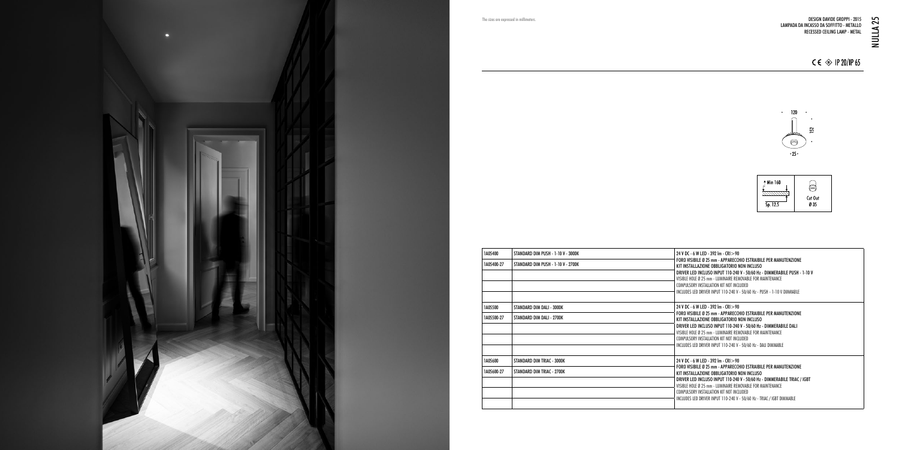$24$  V DC - 6 W LED - 392 lm - CRI $>$ 90 FORO VISIBILE Ø 25 mm - APPARECCHIO ESTRAIBILE PER MANUTENZIONE KIT INSTALLAZIONE OBBLIGATORIO NON INCLUSO  $\overline{\phantom{a}}$  driver led incluso input 110-240 V - 50/60 Hz - Dimmerabile PuSH - 1-10 V VISIBLE HOLE Ø 25 mm - LUMINAIRE REMOVABLE FOR MAINTENANCE COMPULSORY INSTALLATION KIT NOT INCLUDED  $\frac{1}{2}$  INCLUDES LED DRIVER INPUT 110-240 V - 50/60 Hz - PUSH - 1-10 V DIMMABLE 24 V DC - 6 W LED - 392 lm - CRI > 90  $\dagger$  foro visibile ø 25 mm - Apparecchio estraibile per manutenzione KIT INSTALLAZIONE OBBLIGATORIO NON INCLUSO DRIVER LED INCLUSO INPUT 110-240 V - 50/60 Hz - DIMMERABILE DALI VISIBLE HOLE Ø 25 mm - LUMINAIRE REMOVABLE FOR MAINTENANCE COMPULSORY INSTALLATION KIT NOT INCLUDED  $\frac{1}{2}$  includes led driver input 110-240 V - 50/60 Hz - DALI DIMMABLE 24 V DC - 6 W LED - 392 lm - CRI > 90 FORO VISIBILE Ø 25 mm - APPARECCHIO ESTRAIBILE PER MANUTENZIONE KIT INSTALLAZIONE OBBLIGATORIO NON INCLUSO DRIVER LED INCLUSO INPUT 110-240 V - 50/60 Hz - DIMMERABILE TRIAC / IGBT VISIBLE HOLE Ø 25 mm - LUMINAIRE REMOVABLE FOR MAINTENANCE

| 1A05400    | STANDARD DIM PUSH - 1-10 V - 3000K |
|------------|------------------------------------|
| 1A05400-27 | STANDARD DIM PUSH - 1-10 V - 2700K |
|            |                                    |
|            |                                    |
|            |                                    |
| 1A05500    | STANDARD DIM DALI - 3000K          |
| 1A05500-27 | STANDARD DIM DALI - 2700K          |
|            |                                    |
|            |                                    |
|            |                                    |
| 1A05600    | STANDARD DIM TRIAC - 3000K         |
| 1A05600-27 | STANDARD DIM TRIAC - 2700K         |
|            |                                    |
|            |                                    |
|            |                                    |
|            |                                    |

COMPULSORY INSTALLATION KIT NOT INCLUDED

INCLUDES LED DRIVER INPUT 110-240 V - 50/60 Hz - TRIAC / IGBT DIMMABLE



## $C \in \textcircled{2}$  IP 20/IP 65







The sizes are expressed in millimeters.